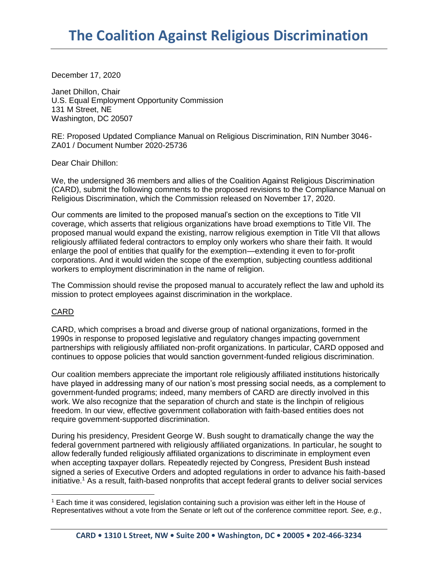December 17, 2020

Janet Dhillon, Chair U.S. Equal Employment Opportunity Commission 131 M Street, NE Washington, DC 20507

RE: Proposed Updated Compliance Manual on Religious Discrimination, RIN Number 3046- ZA01 / Document Number 2020-25736

Dear Chair Dhillon:

We, the undersigned 36 members and allies of the Coalition Against Religious Discrimination (CARD), submit the following comments to the proposed revisions to the Compliance Manual on Religious Discrimination, which the Commission released on November 17, 2020.

Our comments are limited to the proposed manual's section on the exceptions to Title VII coverage, which asserts that religious organizations have broad exemptions to Title VII. The proposed manual would expand the existing, narrow religious exemption in Title VII that allows religiously affiliated federal contractors to employ only workers who share their faith. It would enlarge the pool of entities that qualify for the exemption—extending it even to for-profit corporations. And it would widen the scope of the exemption, subjecting countless additional workers to employment discrimination in the name of religion.

The Commission should revise the proposed manual to accurately reflect the law and uphold its mission to protect employees against discrimination in the workplace.

## CARD

 $\overline{a}$ 

CARD, which comprises a broad and diverse group of national organizations, formed in the 1990s in response to proposed legislative and regulatory changes impacting government partnerships with religiously affiliated non-profit organizations. In particular, CARD opposed and continues to oppose policies that would sanction government-funded religious discrimination.

Our coalition members appreciate the important role religiously affiliated institutions historically have played in addressing many of our nation's most pressing social needs, as a complement to government-funded programs; indeed, many members of CARD are directly involved in this work. We also recognize that the separation of church and state is the linchpin of religious freedom. In our view, effective government collaboration with faith-based entities does not require government-supported discrimination.

During his presidency, President George W. Bush sought to dramatically change the way the federal government partnered with religiously affiliated organizations. In particular, he sought to allow federally funded religiously affiliated organizations to discriminate in employment even when accepting taxpayer dollars. Repeatedly rejected by Congress, President Bush instead signed a series of Executive Orders and adopted regulations in order to advance his faith-based initiative.<sup>1</sup> As a result, faith-based nonprofits that accept federal grants to deliver social services

<sup>1</sup> Each time it was considered, legislation containing such a provision was either left in the House of Representatives without a vote from the Senate or left out of the conference committee report. *See, e.g.*,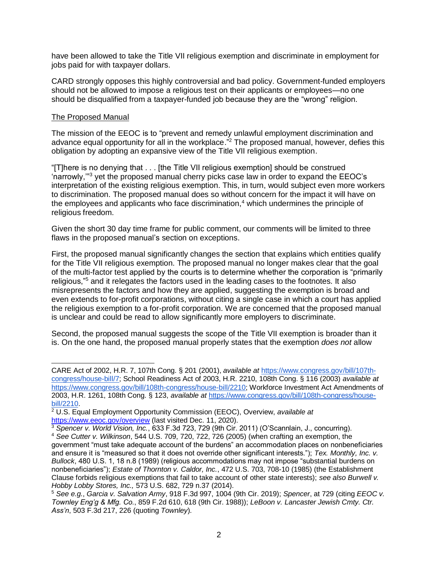have been allowed to take the Title VII religious exemption and discriminate in employment for jobs paid for with taxpayer dollars.

CARD strongly opposes this highly controversial and bad policy. Government-funded employers should not be allowed to impose a religious test on their applicants or employees—no one should be disqualified from a taxpayer-funded job because they are the "wrong" religion.

## The Proposed Manual

The mission of the EEOC is to "prevent and remedy unlawful employment discrimination and advance equal opportunity for all in the workplace.<sup>"2</sup> The proposed manual, however, defies this obligation by adopting an expansive view of the Title VII religious exemption.

"[T]here is no denying that . . . [the Title VII religious exemption] should be construed 'narrowly,'"<sup>3</sup> yet the proposed manual cherry picks case law in order to expand the EEOC's interpretation of the existing religious exemption. This, in turn, would subject even more workers to discrimination. The proposed manual does so without concern for the impact it will have on the employees and applicants who face discrimination, $4$  which undermines the principle of religious freedom.

Given the short 30 day time frame for public comment, our comments will be limited to three flaws in the proposed manual's section on exceptions.

First, the proposed manual significantly changes the section that explains which entities qualify for the Title VII religious exemption. The proposed manual no longer makes clear that the goal of the multi-factor test applied by the courts is to determine whether the corporation is "primarily religious,"<sup>5</sup> and it relegates the factors used in the leading cases to the footnotes. It also misrepresents the factors and how they are applied, suggesting the exemption is broad and even extends to for-profit corporations, without citing a single case in which a court has applied the religious exemption to a for-profit corporation. We are concerned that the proposed manual is unclear and could be read to allow significantly more employers to discriminate.

Second, the proposed manual suggests the scope of the Title VII exemption is broader than it is. On the one hand, the proposed manual properly states that the exemption *does not* allow

 CARE Act of 2002, H.R. 7, 107th Cong. § 201 (2001), *available at* [https://www.congress.gov/bill/107th](https://www.congress.gov/bill/107th-congress/house-bill/7)[congress/house-bill/7;](https://www.congress.gov/bill/107th-congress/house-bill/7) School Readiness Act of 2003, H.R. 2210, 108th Cong. § 116 (2003) *available at* [https://www.congress.gov/bill/108th-congress/house-bill/2210;](https://www.congress.gov/bill/108th-congress/house-bill/2210) Workforce Investment Act Amendments of 2003, H.R. 1261, 108th Cong. § 123, *available at* [https://www.congress.gov/bill/108th-congress/house](https://www.congress.gov/bill/108th-congress/house-bill/2210)[bill/2210.](https://www.congress.gov/bill/108th-congress/house-bill/2210)

<sup>2</sup> U.S. Equal Employment Opportunity Commission (EEOC), Overview, *available at* <https://www.eeoc.gov/overview> (last visited Dec. 11, 2020).

<sup>3</sup> *Spencer v. World Vision, Inc.*, 633 F.3d 723, 729 (9th Cir. 2011) (O'Scannlain, J., concurring).

<sup>4</sup> *See Cutter v. Wilkinson*, 544 U.S. 709, 720, 722, 726 (2005) (when crafting an exemption, the government "must take adequate account of the burdens" an accommodation places on nonbeneficiaries and ensure it is "measured so that it does not override other significant interests."); *Tex. Monthly, Inc. v. Bullock*, 480 U.S. 1, 18 n.8 (1989) (religious accommodations may not impose "substantial burdens on nonbeneficiaries"); *Estate of Thornton v. Caldor, Inc.*, 472 U.S. 703, 708-10 (1985) (the Establishment Clause forbids religious exemptions that fail to take account of other state interests); *see also Burwell v. Hobby Lobby Stores, Inc.,* 573 U.S. 682, 729 n.37 (2014).

<sup>5</sup> *See e.g.*, *Garcia v. Salvation Army*, 918 F.3d 997, 1004 (9th Cir. 2019); *Spencer*, at 729 (citing *EEOC v. Townley Eng'g & Mfg. Co.*, 859 F.2d 610, 618 (9th Cir. 1988)); *LeBoon v. Lancaster Jewish Cmty. Ctr. Ass'n*, 503 F.3d 217, 226 (quoting *Townley*).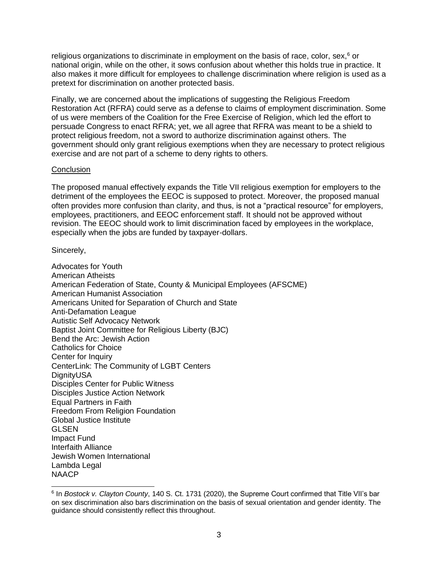religious organizations to discriminate in employment on the basis of race, color, sex,<sup>6</sup> or national origin, while on the other, it sows confusion about whether this holds true in practice. It also makes it more difficult for employees to challenge discrimination where religion is used as a pretext for discrimination on another protected basis.

Finally, we are concerned about the implications of suggesting the Religious Freedom Restoration Act (RFRA) could serve as a defense to claims of employment discrimination. Some of us were members of the Coalition for the Free Exercise of Religion, which led the effort to persuade Congress to enact RFRA; yet, we all agree that RFRA was meant to be a shield to protect religious freedom, not a sword to authorize discrimination against others. The government should only grant religious exemptions when they are necessary to protect religious exercise and are not part of a scheme to deny rights to others.

## **Conclusion**

The proposed manual effectively expands the Title VII religious exemption for employers to the detriment of the employees the EEOC is supposed to protect. Moreover, the proposed manual often provides more confusion than clarity, and thus, is not a "practical resource" for employers, employees, practitioners, and EEOC enforcement staff. It should not be approved without revision. The EEOC should work to limit discrimination faced by employees in the workplace, especially when the jobs are funded by taxpayer-dollars.

Sincerely,

Advocates for Youth American Atheists American Federation of State, County & Municipal Employees (AFSCME) American Humanist Association Americans United for Separation of Church and State Anti-Defamation League Autistic Self Advocacy Network Baptist Joint Committee for Religious Liberty (BJC) Bend the Arc: Jewish Action Catholics for Choice Center for Inquiry CenterLink: The Community of LGBT Centers **DignityUSA** Disciples Center for Public Witness Disciples Justice Action Network Equal Partners in Faith Freedom From Religion Foundation Global Justice Institute GLSEN Impact Fund Interfaith Alliance Jewish Women International Lambda Legal **NAACP** 

 6 In *Bostock v. Clayton County*, 140 S. Ct. 1731 (2020), the Supreme Court confirmed that Title VII's bar on sex discrimination also bars discrimination on the basis of sexual orientation and gender identity. The guidance should consistently reflect this throughout.